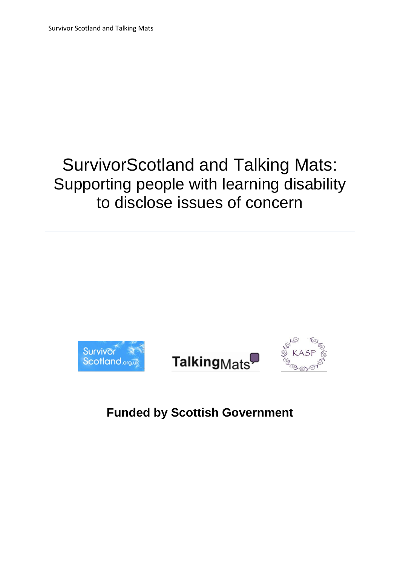# SurvivorScotland and Talking Mats: Supporting people with learning disability to disclose issues of concern







# **Funded by Scottish Government**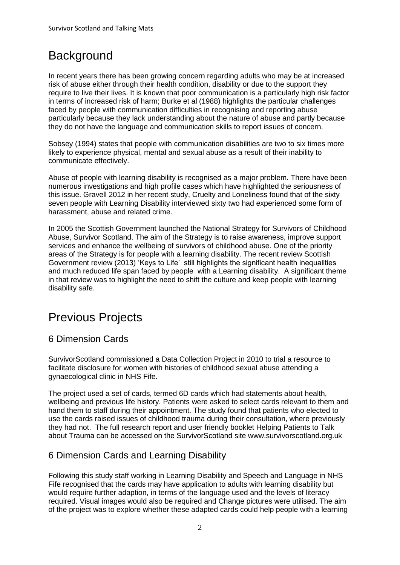# **Background**

In recent years there has been growing concern regarding adults who may be at increased risk of abuse either through their health condition, disability or due to the support they require to live their lives. It is known that poor communication is a particularly high risk factor in terms of increased risk of harm; Burke et al (1988) highlights the particular challenges faced by people with communication difficulties in recognising and reporting abuse particularly because they lack understanding about the nature of abuse and partly because they do not have the language and communication skills to report issues of concern.

Sobsey (1994) states that people with communication disabilities are two to six times more likely to experience physical, mental and sexual abuse as a result of their inability to communicate effectively.

Abuse of people with learning disability is recognised as a major problem. There have been numerous investigations and high profile cases which have highlighted the seriousness of this issue. Gravell 2012 in her recent study, Cruelty and Loneliness found that of the sixty seven people with Learning Disability interviewed sixty two had experienced some form of harassment, abuse and related crime.

In 2005 the Scottish Government launched the National Strategy for Survivors of Childhood Abuse, Survivor Scotland. The aim of the Strategy is to raise awareness, improve support services and enhance the wellbeing of survivors of childhood abuse. One of the priority areas of the Strategy is for people with a learning disability. The recent review Scottish Government review (2013) 'Keys to Life' still highlights the significant health inequalities and much reduced life span faced by people with a Learning disability. A significant theme in that review was to highlight the need to shift the culture and keep people with learning disability safe.

# Previous Projects

### 6 Dimension Cards

SurvivorScotland commissioned a Data Collection Project in 2010 to trial a resource to facilitate disclosure for women with histories of childhood sexual abuse attending a gynaecological clinic in NHS Fife.

The project used a set of cards, termed 6D cards which had statements about health, wellbeing and previous life history. Patients were asked to select cards relevant to them and hand them to staff during their appointment. The study found that patients who elected to use the cards raised issues of childhood trauma during their consultation, where previously they had not. The full research report and user friendly booklet Helping Patients to Talk about Trauma can be accessed on the SurvivorScotland site www.survivorscotland.org.uk

### 6 Dimension Cards and Learning Disability

Following this study staff working in Learning Disability and Speech and Language in NHS Fife recognised that the cards may have application to adults with learning disability but would require further adaption, in terms of the language used and the levels of literacy required. Visual images would also be required and Change pictures were utilised. The aim of the project was to explore whether these adapted cards could help people with a learning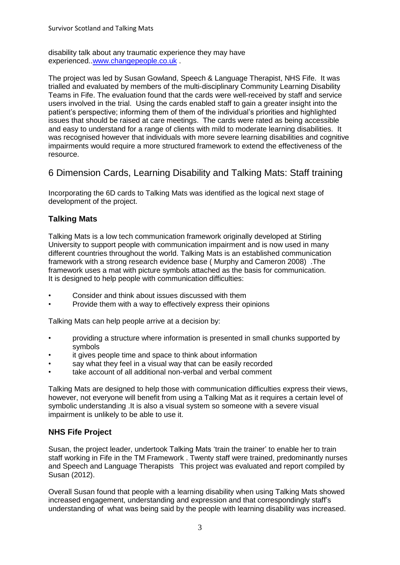disability talk about any traumatic experience they may have experienced.[.www.changepeople.co.uk](http://www.changepeople.co.uk/) .

The project was led by Susan Gowland, Speech & Language Therapist, NHS Fife. It was trialled and evaluated by members of the multi-disciplinary Community Learning Disability Teams in Fife. The evaluation found that the cards were well-received by staff and service users involved in the trial. Using the cards enabled staff to gain a greater insight into the patient's perspective; informing them of them of the individual's priorities and highlighted issues that should be raised at care meetings. The cards were rated as being accessible and easy to understand for a range of clients with mild to moderate learning disabilities. It was recognised however that individuals with more severe learning disabilities and cognitive impairments would require a more structured framework to extend the effectiveness of the resource.

6 Dimension Cards, Learning Disability and Talking Mats: Staff training

Incorporating the 6D cards to Talking Mats was identified as the logical next stage of development of the project.

#### **Talking Mats**

Talking Mats is a low tech communication framework originally developed at Stirling University to support people with communication impairment and is now used in many different countries throughout the world. Talking Mats is an established communication framework with a strong research evidence base ( Murphy and Cameron 2008) .The framework uses a mat with picture symbols attached as the basis for communication. It is designed to help people with communication difficulties:

- Consider and think about issues discussed with them
- Provide them with a way to effectively express their opinions

Talking Mats can help people arrive at a decision by:

- providing a structure where information is presented in small chunks supported by symbols
- it gives people time and space to think about information
- say what they feel in a visual way that can be easily recorded
- take account of all additional non-verbal and verbal comment

Talking Mats are designed to help those with communication difficulties express their views, however, not everyone will benefit from using a Talking Mat as it requires a certain level of symbolic understanding .It is also a visual system so someone with a severe visual impairment is unlikely to be able to use it.

#### **NHS Fife Project**

Susan, the project leader, undertook Talking Mats 'train the trainer' to enable her to train staff working in Fife in the TM Framework . Twenty staff were trained, predominantly nurses and Speech and Language Therapists This project was evaluated and report compiled by Susan (2012).

Overall Susan found that people with a learning disability when using Talking Mats showed increased engagement, understanding and expression and that correspondingly staff's understanding of what was being said by the people with learning disability was increased.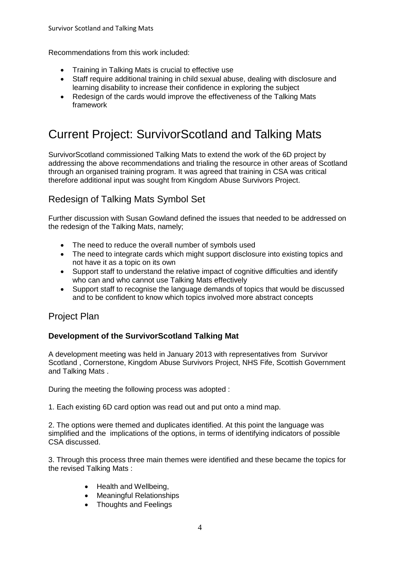Recommendations from this work included:

- Training in Talking Mats is crucial to effective use
- Staff require additional training in child sexual abuse, dealing with disclosure and learning disability to increase their confidence in exploring the subject
- Redesign of the cards would improve the effectiveness of the Talking Mats framework

# Current Project: SurvivorScotland and Talking Mats

SurvivorScotland commissioned Talking Mats to extend the work of the 6D project by addressing the above recommendations and trialing the resource in other areas of Scotland through an organised training program. It was agreed that training in CSA was critical therefore additional input was sought from Kingdom Abuse Survivors Project.

### Redesign of Talking Mats Symbol Set

Further discussion with Susan Gowland defined the issues that needed to be addressed on the redesign of the Talking Mats, namely;

- The need to reduce the overall number of symbols used
- The need to integrate cards which might support disclosure into existing topics and not have it as a topic on its own
- Support staff to understand the relative impact of cognitive difficulties and identify who can and who cannot use Talking Mats effectively
- Support staff to recognise the language demands of topics that would be discussed and to be confident to know which topics involved more abstract concepts

#### Project Plan

#### **Development of the SurvivorScotland Talking Mat**

A development meeting was held in January 2013 with representatives from Survivor Scotland , Cornerstone, Kingdom Abuse Survivors Project, NHS Fife, Scottish Government and Talking Mats .

During the meeting the following process was adopted :

1. Each existing 6D card option was read out and put onto a mind map.

2. The options were themed and duplicates identified. At this point the language was simplified and the implications of the options, in terms of identifying indicators of possible CSA discussed.

3. Through this process three main themes were identified and these became the topics for the revised Talking Mats :

- Health and Wellbeing,
- Meaningful Relationships
- Thoughts and Feelings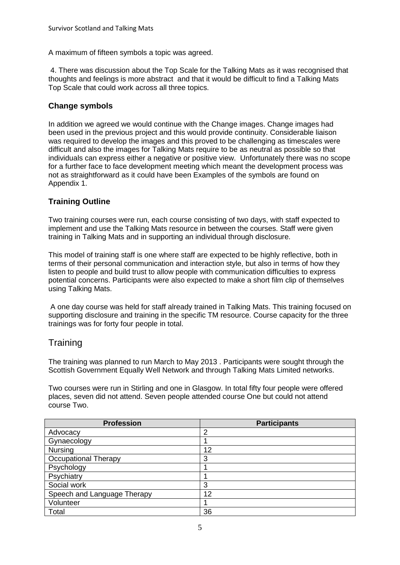A maximum of fifteen symbols a topic was agreed.

4. There was discussion about the Top Scale for the Talking Mats as it was recognised that thoughts and feelings is more abstract and that it would be difficult to find a Talking Mats Top Scale that could work across all three topics.

#### **Change symbols**

In addition we agreed we would continue with the Change images. Change images had been used in the previous project and this would provide continuity. Considerable liaison was required to develop the images and this proved to be challenging as timescales were difficult and also the images for Talking Mats require to be as neutral as possible so that individuals can express either a negative or positive view. Unfortunately there was no scope for a further face to face development meeting which meant the development process was not as straightforward as it could have been Examples of the symbols are found on Appendix 1.

#### **Training Outline**

Two training courses were run, each course consisting of two days, with staff expected to implement and use the Talking Mats resource in between the courses. Staff were given training in Talking Mats and in supporting an individual through disclosure.

This model of training staff is one where staff are expected to be highly reflective, both in terms of their personal communication and interaction style, but also in terms of how they listen to people and build trust to allow people with communication difficulties to express potential concerns. Participants were also expected to make a short film clip of themselves using Talking Mats.

A one day course was held for staff already trained in Talking Mats. This training focused on supporting disclosure and training in the specific TM resource. Course capacity for the three trainings was for forty four people in total.

#### **Training**

The training was planned to run March to May 2013 . Participants were sought through the Scottish Government Equally Well Network and through Talking Mats Limited networks.

Two courses were run in Stirling and one in Glasgow. In total fifty four people were offered places, seven did not attend. Seven people attended course One but could not attend course Two.

| <b>Profession</b>           | <b>Participants</b> |
|-----------------------------|---------------------|
| Advocacy                    | 2                   |
| Gynaecology                 |                     |
| <b>Nursing</b>              | 12                  |
| <b>Occupational Therapy</b> | 3                   |
| Psychology                  |                     |
| Psychiatry                  |                     |
| Social work                 | 3                   |
| Speech and Language Therapy | 12                  |
| Volunteer                   |                     |
| Total                       | 36                  |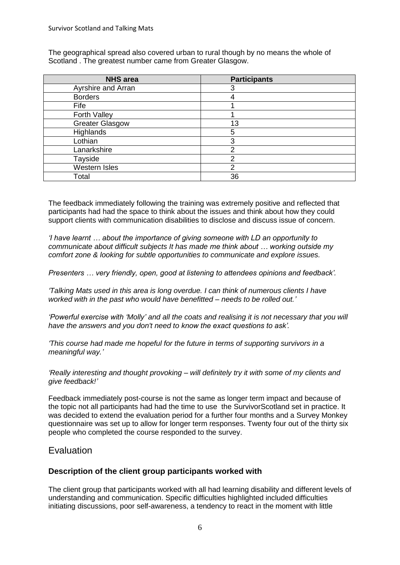The geographical spread also covered urban to rural though by no means the whole of Scotland . The greatest number came from Greater Glasgow.

| <b>NHS</b> area        | <b>Participants</b> |
|------------------------|---------------------|
| Ayrshire and Arran     | З                   |
| <b>Borders</b>         |                     |
| Fife                   |                     |
| Forth Valley           |                     |
| <b>Greater Glasgow</b> | 13                  |
| Highlands              | 5                   |
| Lothian                | 3                   |
| Lanarkshire            | າ                   |
| Tayside                | າ                   |
| <b>Western Isles</b>   | っ                   |
| Total                  | 36                  |

The feedback immediately following the training was extremely positive and reflected that participants had had the space to think about the issues and think about how they could support clients with communication disabilities to disclose and discuss issue of concern.

*'I have learnt … about the importance of giving someone with LD an opportunity to communicate about difficult subjects It has made me think about … working outside my comfort zone & looking for subtle opportunities to communicate and explore issues.*

*Presenters … very friendly, open, good at listening to attendees opinions and feedback'.*

*'Talking Mats used in this area is long overdue. I can think of numerous clients I have worked with in the past who would have benefitted – needs to be rolled out.'*

*'Powerful exercise with 'Molly' and all the coats and realising it is not necessary that you will have the answers and you don't need to know the exact questions to ask'.*

*'This course had made me hopeful for the future in terms of supporting survivors in a meaningful way.'*

*'Really interesting and thought provoking – will definitely try it with some of my clients and give feedback!'*

Feedback immediately post-course is not the same as longer term impact and because of the topic not all participants had had the time to use the SurvivorScotland set in practice. It was decided to extend the evaluation period for a further four months and a Survey Monkey questionnaire was set up to allow for longer term responses. Twenty four out of the thirty six people who completed the course responded to the survey.

#### Evaluation

#### **Description of the client group participants worked with**

The client group that participants worked with all had learning disability and different levels of understanding and communication. Specific difficulties highlighted included difficulties initiating discussions, poor self-awareness, a tendency to react in the moment with little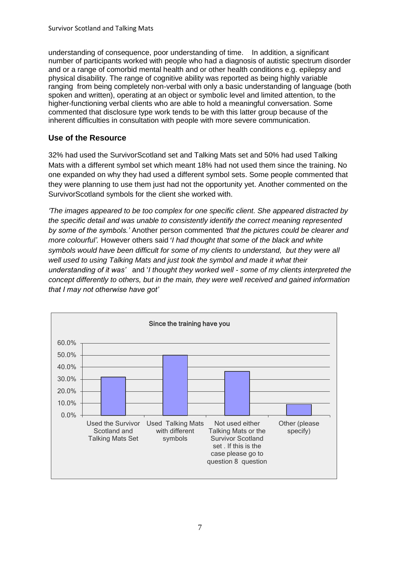understanding of consequence, poor understanding of time. In addition, a significant number of participants worked with people who had a diagnosis of autistic spectrum disorder and or a range of comorbid mental health and or other health conditions e.g. epilepsy and physical disability. The range of cognitive ability was reported as being highly variable ranging from being completely non-verbal with only a basic understanding of language (both spoken and written), operating at an object or symbolic level and limited attention, to the higher-functioning verbal clients who are able to hold a meaningful conversation. Some commented that disclosure type work tends to be with this latter group because of the inherent difficulties in consultation with people with more severe communication.

#### **Use of the Resource**

32% had used the SurvivorScotland set and Talking Mats set and 50% had used Talking Mats with a different symbol set which meant 18% had not used them since the training. No one expanded on why they had used a different symbol sets. Some people commented that they were planning to use them just had not the opportunity yet. Another commented on the SurvivorScotland symbols for the client she worked with.

*'The images appeared to be too complex for one specific client. She appeared distracted by the specific detail and was unable to consistently identify the correct meaning represented by some of the symbols.'* Another person commented *'that the pictures could be clearer and more colourful'.* However others said '*I had thought that some of the black and white symbols would have been difficult for some of my clients to understand, but they were all*  well used to using Talking Mats and just took the symbol and made it what their *understanding of it was'* and '*I thought they worked well - some of my clients interpreted the concept differently to others, but in the main, they were well received and gained information that I may not otherwise have got'*

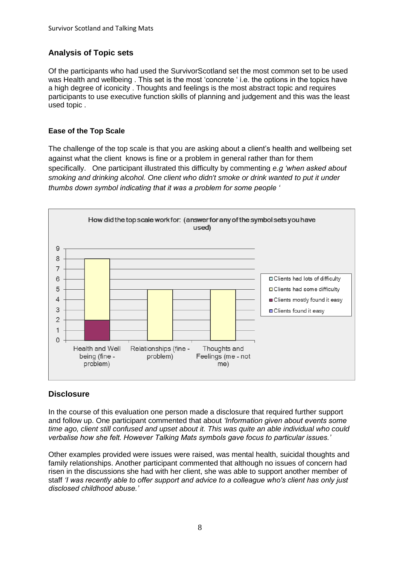#### **Analysis of Topic sets**

Of the participants who had used the SurvivorScotland set the most common set to be used was Health and wellbeing . This set is the most 'concrete ' i.e. the options in the topics have a high degree of iconicity . Thoughts and feelings is the most abstract topic and requires participants to use executive function skills of planning and judgement and this was the least used topic .

#### **Ease of the Top Scale**

The challenge of the top scale is that you are asking about a client's health and wellbeing set against what the client knows is fine or a problem in general rather than for them specifically. One participant illustrated this difficulty by commenting *e.g 'when asked about smoking and drinking alcohol. One client who didn't smoke or drink wanted to put it under thumbs down symbol indicating that it was a problem for some people '*



#### **Disclosure**

In the course of this evaluation one person made a disclosure that required further support and follow up. One participant commented that about *'Information given about events some time ago, client still confused and upset about it. This was quite an able individual who could verbalise how she felt. However Talking Mats symbols gave focus to particular issues.'*

Other examples provided were issues were raised, was mental health, suicidal thoughts and family relationships. Another participant commented that although no issues of concern had risen in the discussions she had with her client, she was able to support another member of staff *'I was recently able to offer support and advice to a colleague who's client has only just disclosed childhood abuse.'*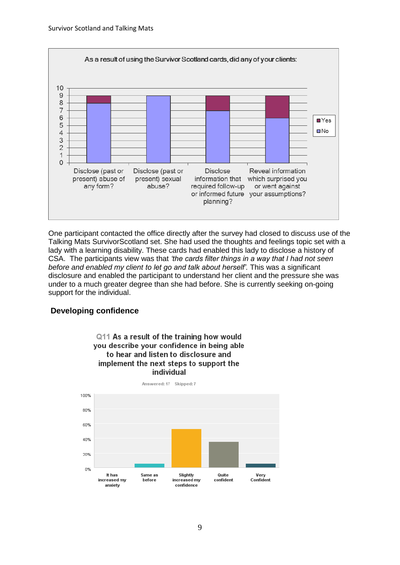

One participant contacted the office directly after the survey had closed to discuss use of the Talking Mats SurvivorScotland set. She had used the thoughts and feelings topic set with a lady with a learning disability. These cards had enabled this lady to disclose a history of CSA. The participants view was that *'the cards filter things in a way that I had not seen before and enabled my client to let go and talk about herself'.* This was a significant disclosure and enabled the participant to understand her client and the pressure she was under to a much greater degree than she had before. She is currently seeking on-going support for the individual.

#### **Developing confidence**



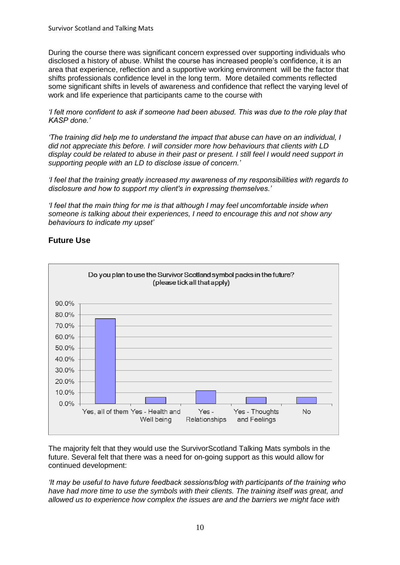During the course there was significant concern expressed over supporting individuals who disclosed a history of abuse. Whilst the course has increased people's confidence, it is an area that experience, reflection and a supportive working environment will be the factor that shifts professionals confidence level in the long term. More detailed comments reflected some significant shifts in levels of awareness and confidence that reflect the varying level of work and life experience that participants came to the course with

*'I felt more confident to ask if someone had been abused. This was due to the role play that KASP done.'*

*'The training did help me to understand the impact that abuse can have on an individual, I did not appreciate this before. I will consider more how behaviours that clients with LD display could be related to abuse in their past or present. I still feel I would need support in supporting people with an LD to disclose issue of concern.'*

*'I feel that the training greatly increased my awareness of my responsibilities with regards to disclosure and how to support my client's in expressing themselves.'*

*'I feel that the main thing for me is that although I may feel uncomfortable inside when someone is talking about their experiences, I need to encourage this and not show any behaviours to indicate my upset'*





The majority felt that they would use the SurvivorScotland Talking Mats symbols in the future. Several felt that there was a need for on-going support as this would allow for continued development:

*'It may be useful to have future feedback sessions/blog with participants of the training who have had more time to use the symbols with their clients. The training itself was great, and allowed us to experience how complex the issues are and the barriers we might face with*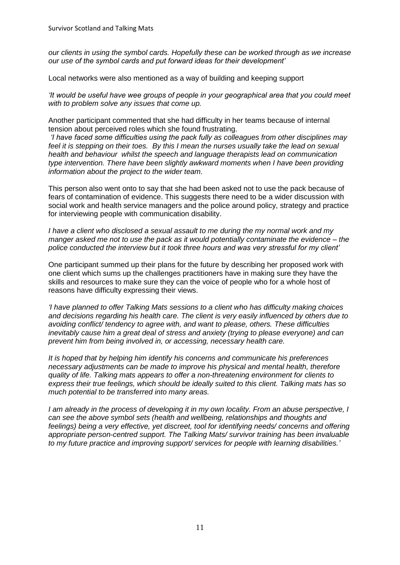*our clients in using the symbol cards. Hopefully these can be worked through as we increase our use of the symbol cards and put forward ideas for their development'*

Local networks were also mentioned as a way of building and keeping support

*'It would be useful have wee groups of people in your geographical area that you could meet with to problem solve any issues that come up.* 

Another participant commented that she had difficulty in her teams because of internal tension about perceived roles which she found frustrating.

*'I have faced some difficulties using the pack fully as colleagues from other disciplines may feel it is stepping on their toes. By this I mean the nurses usually take the lead on sexual health and behaviour whilst the speech and language therapists lead on communication type intervention. There have been slightly awkward moments when I have been providing information about the project to the wider team.*

This person also went onto to say that she had been asked not to use the pack because of fears of contamination of evidence. This suggests there need to be a wider discussion with social work and health service managers and the police around policy, strategy and practice for interviewing people with communication disability.

*I have a client who disclosed a sexual assault to me during the my normal work and my manger asked me not to use the pack as it would potentially contaminate the evidence – the police conducted the interview but it took three hours and was very stressful for my client'* 

One participant summed up their plans for the future by describing her proposed work with one client which sums up the challenges practitioners have in making sure they have the skills and resources to make sure they can the voice of people who for a whole host of reasons have difficulty expressing their views.

*'I have planned to offer Talking Mats sessions to a client who has difficulty making choices and decisions regarding his health care. The client is very easily influenced by others due to avoiding conflict/ tendency to agree with, and want to please, others. These difficulties inevitably cause him a great deal of stress and anxiety (trying to please everyone) and can prevent him from being involved in, or accessing, necessary health care.* 

*It is hoped that by helping him identify his concerns and communicate his preferences necessary adjustments can be made to improve his physical and mental health, therefore quality of life. Talking mats appears to offer a non-threatening environment for clients to express their true feelings, which should be ideally suited to this client. Talking mats has so much potential to be transferred into many areas.* 

*I am already in the process of developing it in my own locality. From an abuse perspective, I can see the above symbol sets (health and wellbeing, relationships and thoughts and feelings) being a very effective, yet discreet, tool for identifying needs/ concerns and offering appropriate person-centred support. The Talking Mats/ survivor training has been invaluable to my future practice and improving support/ services for people with learning disabilities.'*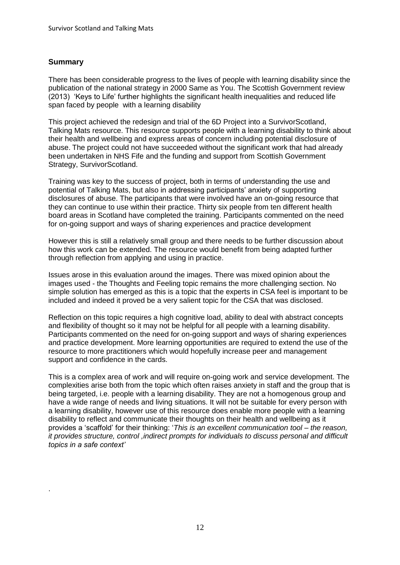#### **Summary**

.

There has been considerable progress to the lives of people with learning disability since the publication of the national strategy in 2000 Same as You. The Scottish Government review (2013) 'Keys to Life' further highlights the significant health inequalities and reduced life span faced by people with a learning disability

This project achieved the redesign and trial of the 6D Project into a SurvivorScotland, Talking Mats resource. This resource supports people with a learning disability to think about their health and wellbeing and express areas of concern including potential disclosure of abuse. The project could not have succeeded without the significant work that had already been undertaken in NHS Fife and the funding and support from Scottish Government Strategy, SurvivorScotland.

Training was key to the success of project, both in terms of understanding the use and potential of Talking Mats, but also in addressing participants' anxiety of supporting disclosures of abuse. The participants that were involved have an on-going resource that they can continue to use within their practice. Thirty six people from ten different health board areas in Scotland have completed the training. Participants commented on the need for on-going support and ways of sharing experiences and practice development

However this is still a relatively small group and there needs to be further discussion about how this work can be extended. The resource would benefit from being adapted further through reflection from applying and using in practice.

Issues arose in this evaluation around the images. There was mixed opinion about the images used - the Thoughts and Feeling topic remains the more challenging section. No simple solution has emerged as this is a topic that the experts in CSA feel is important to be included and indeed it proved be a very salient topic for the CSA that was disclosed.

Reflection on this topic requires a high cognitive load, ability to deal with abstract concepts and flexibility of thought so it may not be helpful for all people with a learning disability. Participants commented on the need for on-going support and ways of sharing experiences and practice development. More learning opportunities are required to extend the use of the resource to more practitioners which would hopefully increase peer and management support and confidence in the cards.

This is a complex area of work and will require on-going work and service development. The complexities arise both from the topic which often raises anxiety in staff and the group that is being targeted, i.e. people with a learning disability. They are not a homogenous group and have a wide range of needs and living situations. It will not be suitable for every person with a learning disability, however use of this resource does enable more people with a learning disability to reflect and communicate their thoughts on their health and wellbeing as it provides a 'scaffold' for their thinking: '*This is an excellent communication tool – the reason, it provides structure, control ,indirect prompts for individuals to discuss personal and difficult topics in a safe context'*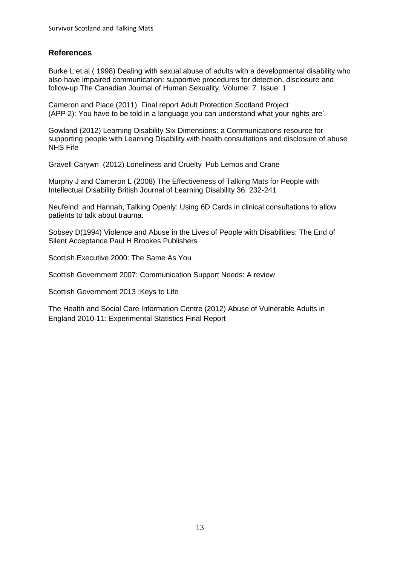#### **References**

Burke L et al ( 1998) Dealing with sexual abuse of adults with a developmental disability who also have impaired communication: supportive procedures for detection, disclosure and follow-up The Canadian Journal of Human Sexuality. Volume: 7. Issue: 1

Cameron and Place (2011) Final report Adult Protection Scotland Project (APP 2): You have to be told in a language you can understand what your rights are'.

Gowland (2012) Learning Disability Six Dimensions: a Communications resource for supporting people with Learning Disability with health consultations and disclosure of abuse NHS Fife

Gravell Carywn (2012) Loneliness and Cruelty Pub Lemos and Crane

Murphy J and Cameron L (2008) The Effectiveness of Talking Mats for People with Intellectual Disability British Journal of Learning Disability 36: 232-241

Neufeind and Hannah, Talking Openly: Using 6D Cards in clinical consultations to allow patients to talk about trauma.

Sobsey D(1994) Violence and Abuse in the Lives of People with Disabilities: The End of Silent Acceptance Paul H Brookes Publishers

Scottish Executive 2000: The Same As You

Scottish Government 2007: Communication Support Needs: A review

Scottish Government 2013 :Keys to Life

The Health and Social Care Information Centre (2012) Abuse of Vulnerable Adults in England 2010-11: Experimental Statistics Final Report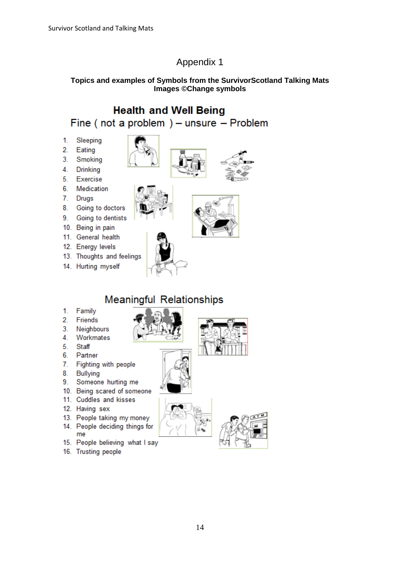## Appendix 1

#### **Topics and examples of Symbols from the SurvivorScotland Talking Mats Images ©Change symbols**

## **Health and Well Being** Fine (not a problem) – unsure – Problem

- $1<sub>1</sub>$ Sleeping
- $2.$ Eating
- $3<sub>1</sub>$ Smoking
- $4.$ **Drinking**
- 5. Exercise
- 6. Medication
- 7. Drugs
- 8. Going to doctors
- 9. Going to dentists
- 10. Being in pain
- 11. General health
- 12. Energy levels
- 13. Thoughts and feelings
- 14. Hurting myself

1. Family

Friends Neighbours

Staff

Partner

**Bullying** 

12. Having sex

16. Trusting people

me

Workmates

Fighting with people

Someone hurting me

13. People taking my money 14. People deciding things for

15. People believing what I say

11. Cuddles and kisses

 $2<sup>1</sup>$ 

 $3.$ 

4. 5.

6.

 $7.$ 

8.

9.





# 10. Being scared of someone